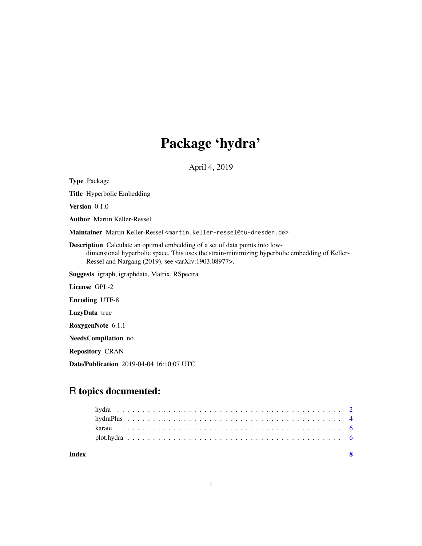# Package 'hydra'

April 4, 2019

<span id="page-0-0"></span>Type Package Title Hyperbolic Embedding Version 0.1.0 Author Martin Keller-Ressel Maintainer Martin Keller-Ressel <martin.keller-ressel@tu-dresden.de> Description Calculate an optimal embedding of a set of data points into lowdimensional hyperbolic space. This uses the strain-minimizing hyperbolic embedding of Keller-Ressel and Nargang (2019), see <arXiv:1903.08977>. Suggests igraph, igraphdata, Matrix, RSpectra License GPL-2 Encoding UTF-8 LazyData true RoxygenNote 6.1.1 NeedsCompilation no Repository CRAN Date/Publication 2019-04-04 16:10:07 UTC

# R topics documented:

| Index |  |  |  |  |  |  |  |  |  |  |  |  |  |  |  |  |  |  |  |  |  |  |  |
|-------|--|--|--|--|--|--|--|--|--|--|--|--|--|--|--|--|--|--|--|--|--|--|--|
|       |  |  |  |  |  |  |  |  |  |  |  |  |  |  |  |  |  |  |  |  |  |  |  |
|       |  |  |  |  |  |  |  |  |  |  |  |  |  |  |  |  |  |  |  |  |  |  |  |
|       |  |  |  |  |  |  |  |  |  |  |  |  |  |  |  |  |  |  |  |  |  |  |  |
|       |  |  |  |  |  |  |  |  |  |  |  |  |  |  |  |  |  |  |  |  |  |  |  |
|       |  |  |  |  |  |  |  |  |  |  |  |  |  |  |  |  |  |  |  |  |  |  |  |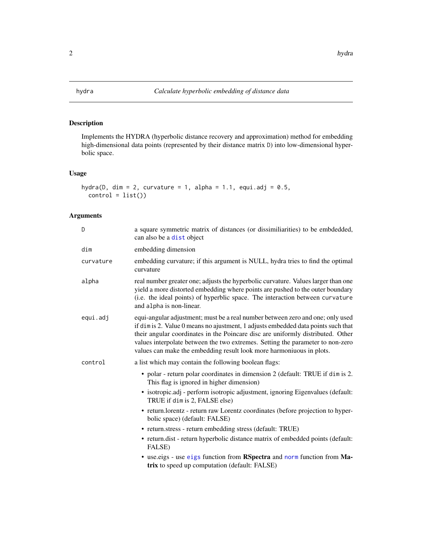<span id="page-1-1"></span><span id="page-1-0"></span>

# Description

Implements the HYDRA (hyperbolic distance recovery and approximation) method for embedding high-dimensional data points (represented by their distance matrix D) into low-dimensional hyperbolic space.

# Usage

```
hydra(D, dim = 2, curvature = 1, alpha = 1.1, equi.adj = 0.5,
 control = list()
```
# Arguments

| D         | a square symmetric matrix of distances (or dissimiliarities) to be embdedded,<br>can also be a dist object                                                                                                                                                                                                                                                                                                       |
|-----------|------------------------------------------------------------------------------------------------------------------------------------------------------------------------------------------------------------------------------------------------------------------------------------------------------------------------------------------------------------------------------------------------------------------|
| dim       | embedding dimension                                                                                                                                                                                                                                                                                                                                                                                              |
| curvature | embedding curvature; if this argument is NULL, hydra tries to find the optimal<br>curvature                                                                                                                                                                                                                                                                                                                      |
| alpha     | real number greater one; adjusts the hyperbolic curvature. Values larger than one<br>yield a more distorted embedding where points are pushed to the outer boundary<br>(i.e. the ideal points) of hyperblic space. The interaction between curvature<br>and alpha is non-linear.                                                                                                                                 |
| equi.adj  | equi-angular adjustment; must be a real number between zero and one; only used<br>if dim is 2. Value 0 means no ajustment, 1 adjusts embedded data points such that<br>their angular coordinates in the Poincare disc are uniformly distributed. Other<br>values interpolate between the two extremes. Setting the parameter to non-zero<br>values can make the embedding result look more harmoniuous in plots. |
| control   | a list which may contain the following boolean flags:                                                                                                                                                                                                                                                                                                                                                            |
|           | • polar - return polar coordinates in dimension 2 (default: TRUE if dim is 2.<br>This flag is ignored in higher dimension)                                                                                                                                                                                                                                                                                       |
|           | • isotropic.adj - perform isotropic adjustment, ignoring Eigenvalues (default:<br>TRUE if dim is 2, FALSE else)                                                                                                                                                                                                                                                                                                  |
|           | • return.lorentz - return raw Lorentz coordinates (before projection to hyper-<br>bolic space) (default: FALSE)                                                                                                                                                                                                                                                                                                  |
|           | • return.stress - return embedding stress (default: TRUE)                                                                                                                                                                                                                                                                                                                                                        |
|           | • return.dist - return hyperbolic distance matrix of embedded points (default:<br>FALSE)                                                                                                                                                                                                                                                                                                                         |
|           | • use eigs - use eigs function from RSpectra and norm function from Ma-<br>trix to speed up computation (default: FALSE)                                                                                                                                                                                                                                                                                         |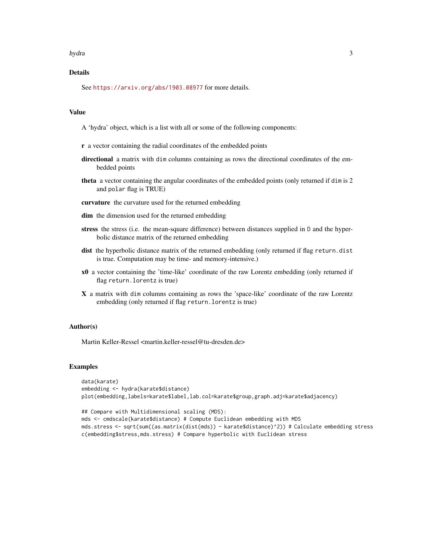#### hydra 300 anisotrophysical contracts of the set of the set of the set of the set of the set of the set of the set of the set of the set of the set of the set of the set of the set of the set of the set of the set of the se

# Details

See <https://arxiv.org/abs/1903.08977> for more details.

#### Value

A 'hydra' object, which is a list with all or some of the following components:

- r a vector containing the radial coordinates of the embedded points
- directional a matrix with dim columns containing as rows the directional coordinates of the embedded points
- theta a vector containing the angular coordinates of the embedded points (only returned if dim is 2 and polar flag is TRUE)
- curvature the curvature used for the returned embedding
- dim the dimension used for the returned embedding
- stress the stress (i.e. the mean-square difference) between distances supplied in D and the hyperbolic distance matrix of the returned embedding
- dist the hyperbolic distance matrix of the returned embedding (only returned if flag return.dist is true. Computation may be time- and memory-intensive.)
- x0 a vector containing the 'time-like' coordinate of the raw Lorentz embedding (only returned if flag return.lorentz is true)
- X a matrix with dim columns containing as rows the 'space-like' coordinate of the raw Lorentz embedding (only returned if flag return.lorentz is true)

# Author(s)

Martin Keller-Ressel <martin.keller-ressel@tu-dresden.de>

#### Examples

```
data(karate)
embedding <- hydra(karate$distance)
plot(embedding,labels=karate$label,lab.col=karate$group,graph.adj=karate$adjacency)
```

```
## Compare with Multidimensional scaling (MDS):
mds <- cmdscale(karate$distance) # Compute Euclidean embedding with MDS
mds.stress <- sqrt(sum((as.matrix(dist(mds)) - karate$distance)^2)) # Calculate embedding stress
c(embedding$stress,mds.stress) # Compare hyperbolic with Euclidean stress
```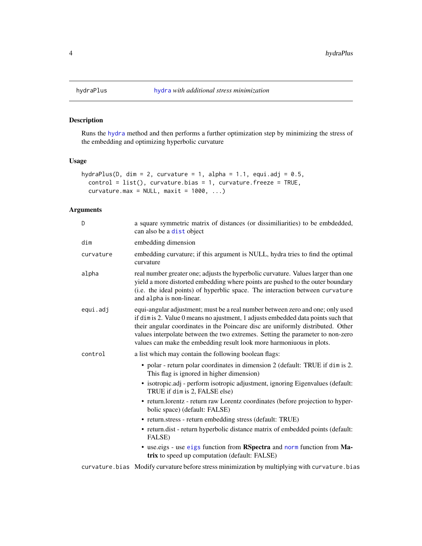# Description

Runs the [hydra](#page-1-1) method and then performs a further optimization step by minimizing the stress of the embedding and optimizing hyperbolic curvature

# Usage

```
hydraPlus(D, dim = 2, curvature = 1, alpha = 1.1, equi.adj = 0.5,
 control = list(), curvature.bias = 1, curvature.freeze = TRUE,
 curvature.max = NULL, maxit = 1000, ...)
```
#### Arguments

| D         | a square symmetric matrix of distances (or dissimiliarities) to be embdedded,<br>can also be a dist object                                                                                                                                                                                                                                                                                                      |
|-----------|-----------------------------------------------------------------------------------------------------------------------------------------------------------------------------------------------------------------------------------------------------------------------------------------------------------------------------------------------------------------------------------------------------------------|
| dim       | embedding dimension                                                                                                                                                                                                                                                                                                                                                                                             |
| curvature | embedding curvature; if this argument is NULL, hydra tries to find the optimal<br>curvature                                                                                                                                                                                                                                                                                                                     |
| alpha     | real number greater one; adjusts the hyperbolic curvature. Values larger than one<br>yield a more distorted embedding where points are pushed to the outer boundary<br>(i.e. the ideal points) of hyperblic space. The interaction between curvature<br>and alpha is non-linear.                                                                                                                                |
| equi.adj  | equi-angular adjustment; must be a real number between zero and one; only used<br>if dimis 2. Value 0 means no ajustment, 1 adjusts embedded data points such that<br>their angular coordinates in the Poincare disc are uniformly distributed. Other<br>values interpolate between the two extremes. Setting the parameter to non-zero<br>values can make the embedding result look more harmoniuous in plots. |
| control   | a list which may contain the following boolean flags:                                                                                                                                                                                                                                                                                                                                                           |
|           | • polar - return polar coordinates in dimension 2 (default: TRUE if dim is 2.<br>This flag is ignored in higher dimension)                                                                                                                                                                                                                                                                                      |
|           | · isotropic.adj - perform isotropic adjustment, ignoring Eigenvalues (default:<br>TRUE if dim is 2, FALSE else)                                                                                                                                                                                                                                                                                                 |
|           | • return.lorentz - return raw Lorentz coordinates (before projection to hyper-<br>bolic space) (default: FALSE)                                                                                                                                                                                                                                                                                                 |
|           | • return.stress - return embedding stress (default: TRUE)                                                                                                                                                                                                                                                                                                                                                       |
|           | • return.dist - return hyperbolic distance matrix of embedded points (default:<br>FALSE)                                                                                                                                                                                                                                                                                                                        |
|           | • use eigs - use eigs function from RSpectra and norm function from Ma-<br>trix to speed up computation (default: FALSE)                                                                                                                                                                                                                                                                                        |
|           |                                                                                                                                                                                                                                                                                                                                                                                                                 |

curvature.bias Modify curvature before stress minimization by multiplying with curvature.bias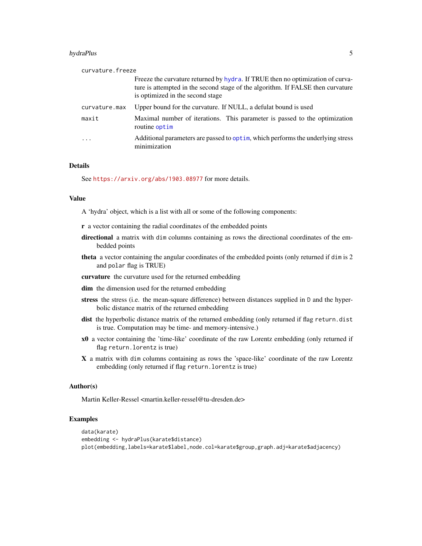#### <span id="page-4-0"></span>hydraPlus 5

| curvature, freeze |                                                                                                                                                                                                        |
|-------------------|--------------------------------------------------------------------------------------------------------------------------------------------------------------------------------------------------------|
|                   | Freeze the curvature returned by hydra. If TRUE then no optimization of curva-<br>ture is attempted in the second stage of the algorithm. If FALSE then curvature<br>is optimized in the second stage. |
| curvature.max     | Upper bound for the curvature. If NULL, a defulat bound is used                                                                                                                                        |
| maxit             | Maximal number of iterations. This parameter is passed to the optimization<br>routine optim                                                                                                            |
| $\ddots$ .        | Additional parameters are passed to optim, which performs the underlying stress<br>minimization                                                                                                        |

#### Details

See <https://arxiv.org/abs/1903.08977> for more details.

#### Value

A 'hydra' object, which is a list with all or some of the following components:

- r a vector containing the radial coordinates of the embedded points
- directional a matrix with dim columns containing as rows the directional coordinates of the embedded points
- theta a vector containing the angular coordinates of the embedded points (only returned if dim is 2 and polar flag is TRUE)
- curvature the curvature used for the returned embedding
- dim the dimension used for the returned embedding
- stress the stress (i.e. the mean-square difference) between distances supplied in D and the hyperbolic distance matrix of the returned embedding
- dist the hyperbolic distance matrix of the returned embedding (only returned if flag return.dist is true. Computation may be time- and memory-intensive.)
- x0 a vector containing the 'time-like' coordinate of the raw Lorentz embedding (only returned if flag return.lorentz is true)
- X a matrix with dim columns containing as rows the 'space-like' coordinate of the raw Lorentz embedding (only returned if flag return.lorentz is true)

#### Author(s)

Martin Keller-Ressel <martin.keller-ressel@tu-dresden.de>

#### Examples

```
data(karate)
embedding <- hydraPlus(karate$distance)
plot(embedding,labels=karate$label,node.col=karate$group,graph.adj=karate$adjacency)
```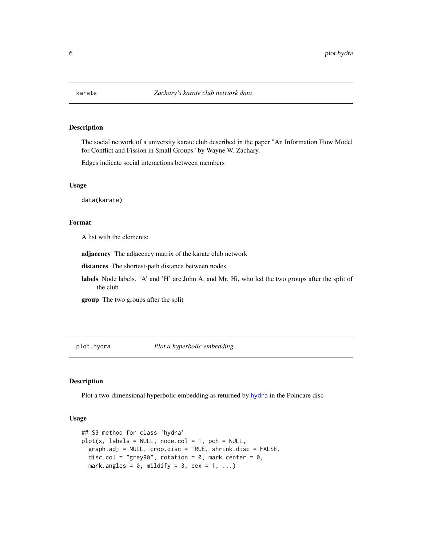<span id="page-5-0"></span>

#### Description

The social network of a university karate club described in the paper "An Information Flow Model for Conflict and Fission in Small Groups" by Wayne W. Zachary.

Edges indicate social interactions between members

#### Usage

data(karate)

### Format

A list with the elements:

adjacency The adjacency matrix of the karate club network

distances The shortest-path distance between nodes

labels Node labels. 'A' and 'H' are John A. and Mr. Hi, who led the two groups after the split of the club

group The two groups after the split

plot.hydra *Plot a hyperbolic embedding*

#### Description

Plot a two-dimensional hyperbolic embedding as returned by [hydra](#page-1-1) in the Poincare disc

#### Usage

```
## S3 method for class 'hydra'
plot(x, labels = NULL, node,col = 1, pch = NULL,graph.adj = NULL, crop.disc = TRUE, shrink.disc = FALSE,
 disc.col = "grey90", rotation = 0, mark.center = 0,
 mark.angles = 0, mildify = 3, cex = 1, ...)
```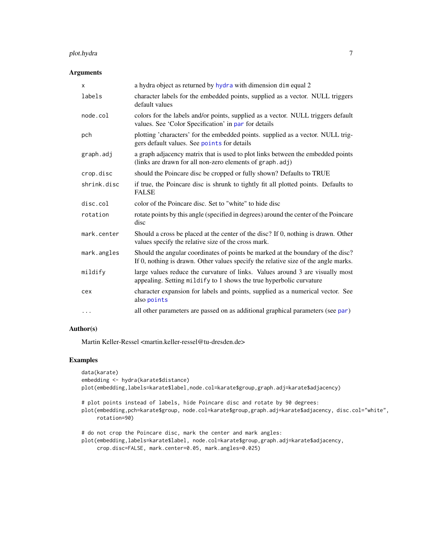# <span id="page-6-0"></span>plot.hydra 7

#### Arguments

| X           | a hydra object as returned by hydra with dimension dimequal 2                                                                                                         |
|-------------|-----------------------------------------------------------------------------------------------------------------------------------------------------------------------|
| labels      | character labels for the embedded points, supplied as a vector. NULL triggers<br>default values                                                                       |
| node.col    | colors for the labels and/or points, supplied as a vector. NULL triggers default<br>values. See 'Color Specification' in par for details                              |
| pch         | plotting 'characters' for the embedded points. supplied as a vector. NULL trig-<br>gers default values. See points for details                                        |
| graph.adj   | a graph adjacency matrix that is used to plot links between the embedded points<br>(links are drawn for all non-zero elements of graph.adj)                           |
| crop.disc   | should the Poincare disc be cropped or fully shown? Defaults to TRUE                                                                                                  |
| shrink.disc | if true, the Poincare disc is shrunk to tightly fit all plotted points. Defaults to<br><b>FALSE</b>                                                                   |
| disc.col    | color of the Poincare disc. Set to "white" to hide disc                                                                                                               |
| rotation    | rotate points by this angle (specified in degrees) around the center of the Poincare<br>disc                                                                          |
| mark.center | Should a cross be placed at the center of the disc? If 0, nothing is drawn. Other<br>values specify the relative size of the cross mark.                              |
| mark.angles | Should the angular coordinates of points be marked at the boundary of the disc?<br>If 0, nothing is drawn. Other values specify the relative size of the angle marks. |
| mildify     | large values reduce the curvature of links. Values around 3 are visually most<br>appealing. Setting mildify to 1 shows the true hyperbolic curvature                  |
| cex         | character expansion for labels and points, supplied as a numerical vector. See<br>also points                                                                         |
| $\cdots$    | all other parameters are passed on as additional graphical parameters (see par)                                                                                       |

# Author(s)

Martin Keller-Ressel <martin.keller-ressel@tu-dresden.de>

# Examples

```
data(karate)
embedding <- hydra(karate$distance)
plot(embedding,labels=karate$label,node.col=karate$group,graph.adj=karate$adjacency)
# plot points instead of labels, hide Poincare disc and rotate by 90 degrees:
plot(embedding,pch=karate$group, node.col=karate$group,graph.adj=karate$adjacency, disc.col="white",
     rotation=90)
# do not crop the Poincare disc, mark the center and mark angles:
plot(embedding,labels=karate$label, node.col=karate$group,graph.adj=karate$adjacency,
     crop.disc=FALSE, mark.center=0.05, mark.angles=0.025)
```